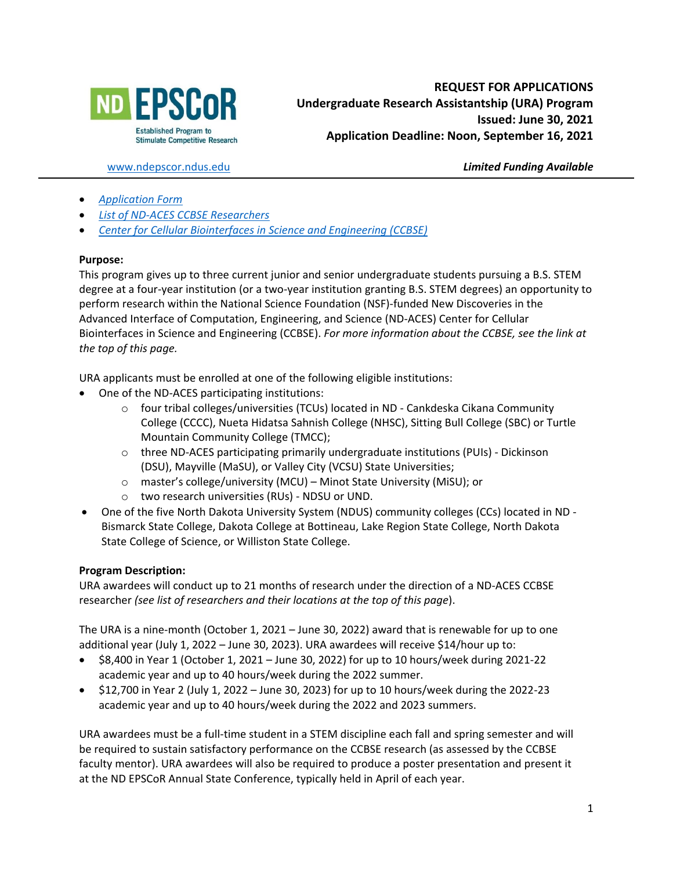

[www.ndepscor.ndus.edu](http://www.ndepscor.ndus.edu/) *Limited Funding Available*

- *[Application Form](https://www.ndepscor.ndus.edu/fileadmin/ndus/ndepscor/Undergraduate_Research_Assistantship/URA2021.22applform_june2021.pdf)*
- *[List of ND-ACES CCBSE Researchers](https://www.ndepscor.ndus.edu/fileadmin/ndus/ndepscor/REU/2021REUResearcherListFINAL.pdf)*
- *[Center for Cellular Biointerfaces in Science and Engineering \(CCBSE\)](https://bit.ly/CCBSE)*

### **Purpose:**

This program gives up to three current junior and senior undergraduate students pursuing a B.S. STEM degree at a four-year institution (or a two-year institution granting B.S. STEM degrees) an opportunity to perform research within the National Science Foundation (NSF)-funded New Discoveries in the Advanced Interface of Computation, Engineering, and Science (ND-ACES) Center for Cellular Biointerfaces in Science and Engineering (CCBSE). *For more information about the CCBSE, see the link at the top of this page.*

URA applicants must be enrolled at one of the following eligible institutions:

- One of the ND-ACES participating institutions:
	- $\circ$  four tribal colleges/universities (TCUs) located in ND Cankdeska Cikana Community College (CCCC), Nueta Hidatsa Sahnish College (NHSC), Sitting Bull College (SBC) or Turtle Mountain Community College (TMCC);
	- $\circ$  three ND-ACES participating primarily undergraduate institutions (PUIs) Dickinson (DSU), Mayville (MaSU), or Valley City (VCSU) State Universities;
	- o master's college/university (MCU) Minot State University (MiSU); or
	- o two research universities (RUs) NDSU or UND.
- One of the five North Dakota University System (NDUS) community colleges (CCs) located in ND Bismarck State College, Dakota College at Bottineau, Lake Region State College, North Dakota State College of Science, or Williston State College.

## **Program Description:**

URA awardees will conduct up to 21 months of research under the direction of a ND-ACES CCBSE researcher *(see list of researchers and their locations at the top of this page*).

The URA is a nine-month (October 1, 2021 – June 30, 2022) award that is renewable for up to one additional year (July 1, 2022 – June 30, 2023). URA awardees will receive \$14/hour up to:

- \$8,400 in Year 1 (October 1, 2021 June 30, 2022) for up to 10 hours/week during 2021-22 academic year and up to 40 hours/week during the 2022 summer.
- \$12,700 in Year 2 (July 1, 2022 June 30, 2023) for up to 10 hours/week during the 2022-23 academic year and up to 40 hours/week during the 2022 and 2023 summers.

URA awardees must be a full-time student in a STEM discipline each fall and spring semester and will be required to sustain satisfactory performance on the CCBSE research (as assessed by the CCBSE faculty mentor). URA awardees will also be required to produce a poster presentation and present it at the ND EPSCoR Annual State Conference, typically held in April of each year.